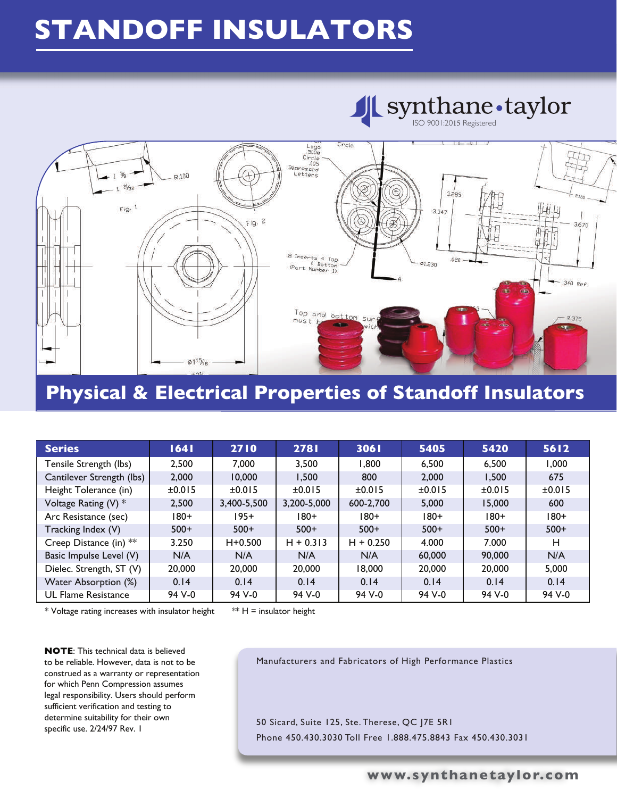## **STANDOFF INSULATORS**



### **Physical & Electrical Properties of Standoff Insulators**

| <b>Series</b>              | 1641   | 2710        | 2781        | 3061        | 5405   | 5420   | 5612   |
|----------------------------|--------|-------------|-------------|-------------|--------|--------|--------|
| Tensile Strength (lbs)     | 2,500  | 7.000       | 3,500       | 1.800       | 6,500  | 6,500  | 1,000  |
| Cantilever Strength (lbs)  | 2,000  | 10,000      | 1.500       | 800         | 2,000  | 1,500  | 675    |
| Height Tolerance (in)      | ±0.015 | ±0.015      | ±0.015      | ±0.015      | ±0.015 | ±0.015 | ±0.015 |
| Voltage Rating (V) *       | 2,500  | 3,400-5,500 | 3,200-5,000 | 600-2.700   | 5.000  | 15,000 | 600    |
| Arc Resistance (sec)       | $180+$ | $195+$      | $180+$      | $180+$      | $180+$ | $180+$ | $180+$ |
| Tracking Index (V)         | $500+$ | $500+$      | $500+$      | $500+$      | $500+$ | $500+$ | $500+$ |
| Creep Distance (in) **     | 3.250  | $H + 0.500$ | $H + 0.313$ | $H + 0.250$ | 4.000  | 7.000  | н      |
| Basic Impulse Level (V)    | N/A    | N/A         | N/A         | N/A         | 60,000 | 90,000 | N/A    |
| Dielec. Strength, ST (V)   | 20,000 | 20,000      | 20,000      | 18,000      | 20,000 | 20,000 | 5,000  |
| Water Absorption (%)       | 0.14   | 0.14        | 0.14        | 0.14        | 0.14   | 0.14   | 0.14   |
| <b>UL Flame Resistance</b> | 94 V-0 | 94 V-0      | 94 V-0      | 94 V-0      | 94 V-0 | 94 V-0 | 94 V-0 |

\* Voltage rating increases with insulator height  $* H =$  insulator height

**NOTE**: This technical data is believed to be reliable. However, data is not to be construed as a warranty or representation for which Penn Compression assumes legal responsibility. Users should perform sufficient verification and testing to determine suitability for their own specific use. 2/24/97 Rev. 1

Manufacturers and Fabricators of High Performance Plastics

50 Sicard, Suite 125, Ste. Therese, QC J7E 5R1 Phone 450.430.3030 Toll Free 1.888.475.8843 Fax 450.430.3031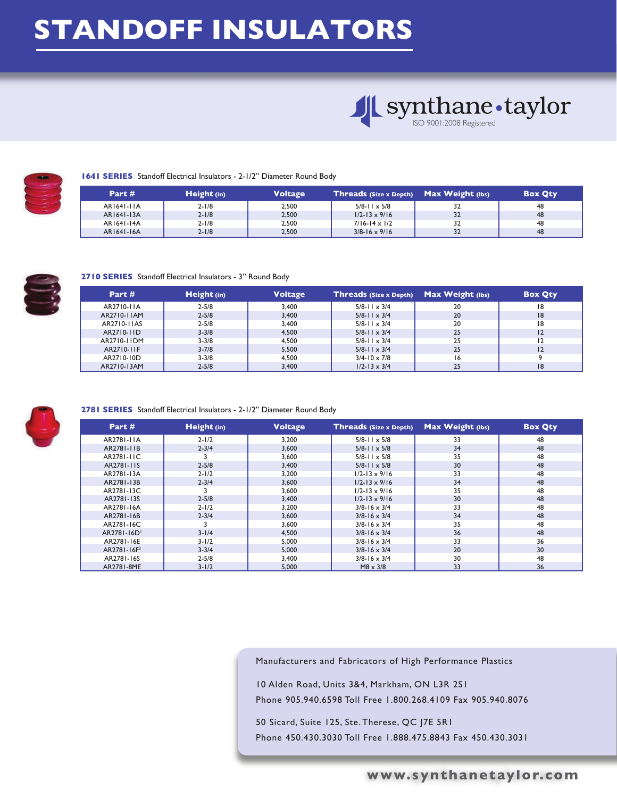## **STANDOFF INSULATORS**





#### **1641 SERIES** Standoff Electrical Insulators - 2-1/2" Diameter Round Body

| Part #     | Height (in) | <b>Voltage</b> | Threads (Size x Depth) Max Weight (lbs) |    | <b>Box Qty</b> |
|------------|-------------|----------------|-----------------------------------------|----|----------------|
| AR1641-11A | $2 - 1/8$   | 2.500          | $5/8 - 11 \times 5/8$                   | 32 | 48             |
| AR1641-13A | $2 - 1/8$   | 2,500          | $1/2 - 13 \times 9/16$                  | 32 | 48             |
| AR1641-14A | $2 - 1/8$   | 2.500          | $7/16 - 14 \times 1/2$                  | 32 | 48             |
| AR1641-16A | $2 - 1/8$   | 2.500          | $3/8 - 16 \times 9/16$                  | 32 | 48             |



#### **2710 SERIES** Standoff Electrical Insulators - 3" Round Body

| Part #      | Height (in) | <b>Voltage</b> | Threads (Size x Depth) | Max Weight (lbs) | <b>Box Qty</b> |
|-------------|-------------|----------------|------------------------|------------------|----------------|
| AR2710-11A  | $2 - 5/8$   | 3.400          | $5/8 - 11 \times 3/4$  | 20               | 18             |
| AR2710-11AM | $2 - 5/8$   | 3.400          | $5/8$ -11 $\times$ 3/4 | 20               | 8              |
| AR2710-11AS | $2 - 5/8$   | 3.400          | $5/8$ -11 $\times$ 3/4 | 20               | 18             |
| AR2710-11D  | $3 - 3/8$   | 4.500          | $5/8$ -11 $\times$ 3/4 | 25               | 12             |
| AR2710-11DM | $3 - 3/8$   | 4.500          | $5/8$ -11 $\times$ 3/4 | 25               | 12             |
| AR2710-11F  | $3 - 7/8$   | 5.500          | $5/8$ -11 $\times$ 3/4 | 25               | 12             |
| AR2710-10D  | $3 - 3/8$   | 4.500          | $3/4 - 10 \times 7/8$  | 16               |                |
| AR2710-13AM | $2 - 5/8$   | 3,400          | $1/2 - 13 \times 3/4$  | 25               | 18             |



#### **2781 SERIES** Standoff Electrical Insulators - 2-1/2" Diameter Round Body

| Part #                  | Height (in) | Voltage | <b>Threads (Size x Depth)</b> | Max Weight (lbs) | <b>Box Qty</b> |
|-------------------------|-------------|---------|-------------------------------|------------------|----------------|
| AR2781-11A              | $2 - 1/2$   | 3,200   | $5/8 - 11 \times 5/8$         | 33               | 48             |
| AR2781-11B              | $2 - 3/4$   | 3,600   | $5/8$ -11 $\times$ 5/8        | 34               | 48             |
| AR2781-11C              |             | 3,600   | $5/8 - 11 \times 5/8$         | 35               | 48             |
| AR2781-11S              | $2 - 5/8$   | 3,400   | $5/8$ -11 $\times$ 5/8        | 30               | 48             |
| AR2781-13A              | $2 - 1/2$   | 3,200   | $1/2 - 13 \times 9/16$        | 33               | 48             |
| AR2781-13B              | $2 - 3/4$   | 3,600   | $1/2 - 13 \times 9/16$        | 34               | 48             |
| AR2781-13C              |             | 3,600   | $1/2 - 13 \times 9/16$        | 35               | 48             |
| AR2781-13S              | $2 - 5/8$   | 3,400   | $1/2 - 13 \times 9/16$        | 30               | 48             |
| AR2781-16A              | $2 - 1/2$   | 3,200   | $3/8 - 16 \times 3/4$         | 33               | 48             |
| AR2781-16B              | $2 - 3/4$   | 3.600   | $3/8 - 16 \times 3/4$         | 34               | 48             |
| AR2781-16C              |             | 3,600   | $3/8 - 16 \times 3/4$         | 35               | 48             |
| AR2781-16D              | $3 - 1/4$   | 4,500   | $3/8 - 16 \times 3/4$         | 36               | 48             |
| AR2781-16E              | $3 - 1/2$   | 5.000   | $3/8 - 16 \times 3/4$         | 33               | 36             |
| AR2781-16F <sup>2</sup> | $3 - 3/4$   | 5,000   | $3/8 - 16 \times 3/4$         | 20               | 30             |
| AR2781-16S              | $2 - 5/8$   | 3,400   | $3/8 - 16 \times 3/4$         | 30               | 48             |
| AR2781-8ME              | $3 - 1/2$   | 5,000   | $M8 \times 3/8$               | 33               | 36             |

Manufacturers and Fabricators of High Performance Plastics

10 Alden Road, Units 3&4, Markham, ON L3R 2S1 Phone 905.940.6598 Toll Free 1.800.268.4109 Fax 905.940.8076

50 Sicard, Suite 125, Ste. Therese, QC J7E 5R1 Phone 450.430.3030 Toll Free 1.888.475.8843 Fax 450.430.3031